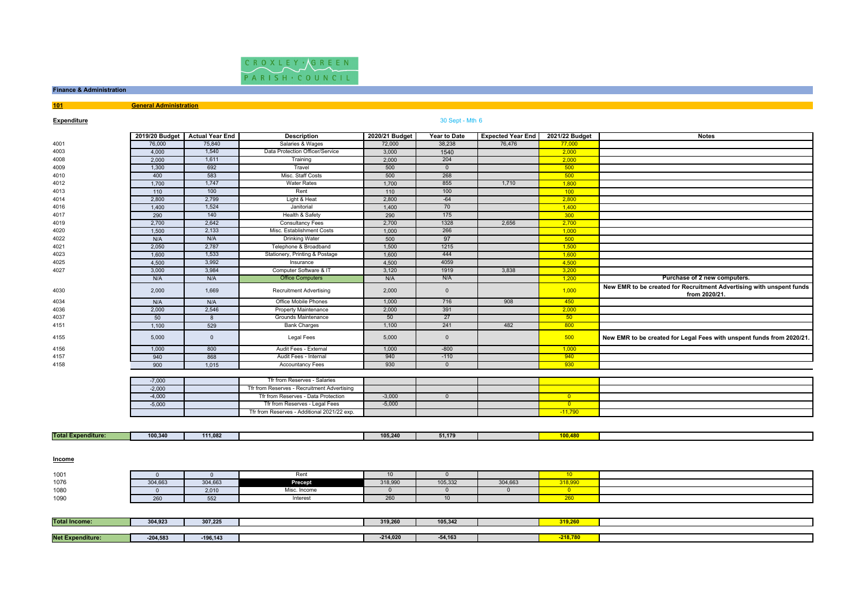

## **Finance & Administration**

**101General Administration**

## **Expenditure**

**e** 30 Sept - Mth 6

|                           | 2019/20 Budget | <b>Actual Year End</b> | <b>Description</b>                          | 2020/21 Budget | Year to Date   | <b>Expected Year End</b> | 2021/22 Budget | <b>Notes</b>                                                                          |
|---------------------------|----------------|------------------------|---------------------------------------------|----------------|----------------|--------------------------|----------------|---------------------------------------------------------------------------------------|
| 4001                      | 76,000         | 75,840                 | Salaries & Wages                            | 72,000         | 38,238         | 76,476                   | 77,000         |                                                                                       |
| 4003                      | 4,000          | 1,540                  | Data Protection Officer/Service             | 3,000          | 1540           |                          | 2,000          |                                                                                       |
| 4008                      | 2,000          | 1,611                  | Training                                    | 2,000          | 204            |                          | 2,000          |                                                                                       |
| 4009                      | 1,300          | 692                    | Travel                                      | 500            | $\mathbf{0}$   |                          | 500            |                                                                                       |
| 4010                      | 400            | 583                    | Misc. Staff Costs                           | 500            | 268            |                          | 500            |                                                                                       |
| 4012                      | 1,700          | 1,747                  | <b>Water Rates</b>                          | 1,700          | 855            | 1,710                    | 1,800          |                                                                                       |
| 4013                      | 110            | 100                    | Rent                                        | 110            | 100            |                          | 100            |                                                                                       |
| 4014                      | 2,800          | 2,799                  | Light & Heat                                | 2,800          | $-64$          |                          | 2,800          |                                                                                       |
| 4016                      | 1,400          | 1,524                  | Janitorial                                  | 1,400          | 70             |                          | 1.400          |                                                                                       |
| 4017                      | 290            | 140                    | Health & Safety                             | 290            | 175            |                          | 300            |                                                                                       |
| 4019                      | 2,700          | 2,642                  | Consultancy Fees                            | 2,700          | 1328           | 2,656                    | 2,700          |                                                                                       |
| 4020                      | 1,500          | 2,133                  | Misc. Establishment Costs                   | 1,000          | 266            |                          | 1.000          |                                                                                       |
| 4022                      | N/A            | N/A                    | <b>Drinking Water</b>                       | 500            | 97             |                          | 500            |                                                                                       |
| 4021                      | 2,050          | 2,787                  | Telephone & Broadband                       | 1,500          | 1215           |                          | 1,500          |                                                                                       |
| 4023                      | 1,600          | 1,533                  | Stationery, Printing & Postage              | 1,600          | 444            |                          | 1.600          |                                                                                       |
| 4025                      | 4,500          | 3,992                  | Insurance                                   | 4,500          | 4059           |                          | 4,500          |                                                                                       |
| 4027                      | 3,000          | 3,984                  | Computer Software & IT                      | 3,120          | 1919           | 3,838                    | 3,200          |                                                                                       |
|                           | N/A            | N/A                    | <b>Office Computers</b>                     | N/A            | N/A            |                          | 1,200          | Purchase of 2 new computers.                                                          |
| 4030                      | 2,000          | 1,669                  | <b>Recruitment Advertising</b>              | 2,000          | $\mathbf{0}$   |                          | 1,000          | New EMR to be created for Recruitment Advertising with unspent funds<br>from 2020/21. |
| 4034                      | N/A            | N/A                    | Office Mobile Phones                        | 1,000          | 716            | 908                      | 450            |                                                                                       |
| 4036                      | 2,000          | 2,546                  | <b>Property Maintenance</b>                 | 2,000          | 391            |                          | 2,000          |                                                                                       |
| 4037                      | 50             | 8                      | Grounds Maintenance                         | 50             | 27             |                          | $-50$          |                                                                                       |
| 4151                      | 1,100          | 529                    | <b>Bank Charges</b>                         | 1,100          | 241            | 482                      | 800            |                                                                                       |
| 4155                      | 5,000          | $\mathbf{0}$           | Legal Fees                                  | 5,000          | $\mathbf{0}$   |                          | 500            | New EMR to be created for Legal Fees with unspent funds from 2020/21.                 |
| 4156                      | 1,000          | 800                    | Audit Fees - External                       | 1,000          | $-800$         |                          | 1,000          |                                                                                       |
| 4157                      | 940            | 868                    | Audit Fees - Internal                       | 940            | $-110$         |                          | 940            |                                                                                       |
| 4158                      | 900            | 1,015                  | <b>Accountancy Fees</b>                     | 930            | $\overline{0}$ |                          | 930            |                                                                                       |
|                           |                |                        |                                             |                |                |                          |                |                                                                                       |
|                           | $-7,000$       |                        | Tfr from Reserves - Salaries                |                |                |                          |                |                                                                                       |
|                           | $-2,000$       |                        | Tfr from Reserves - Recruitment Advertising |                |                |                          |                |                                                                                       |
|                           | $-4,000$       |                        | Tfr from Reserves - Data Protection         | $-3,000$       | $\Omega$       |                          | $\overline{0}$ |                                                                                       |
|                           | $-5,000$       |                        | Tfr from Reserves - Legal Fees              | $-5,000$       |                |                          | $\overline{0}$ |                                                                                       |
|                           |                |                        | Tfr from Reserves - Additional 2021/22 exp. |                |                |                          | $-11,790$      |                                                                                       |
|                           |                |                        |                                             |                |                |                          |                |                                                                                       |
| <b>Total Expenditure:</b> | 100,340        | 111,082                |                                             | 105,240        | 51,179         |                          | 100,480        |                                                                                       |
| Income                    |                |                        |                                             |                |                |                          |                |                                                                                       |
| 1001                      | $\mathbf 0$    | $\mathbf{0}$           | Rent                                        | 10             | $\mathbf{0}$   |                          | 10             |                                                                                       |
| 1076                      | 304,663        | 304,663                | Precept                                     | 318,990        | 105,332        | 304,663                  | 318,990        |                                                                                       |
| 1080                      | $\Omega$       | 2,010                  | Misc. Income                                | $\overline{0}$ | $\overline{0}$ | $\overline{0}$           | $\overline{0}$ |                                                                                       |
| 1090                      | 260            | 552                    | Interest                                    | 260            | 10             |                          | 260            |                                                                                       |
|                           |                |                        |                                             |                |                |                          |                |                                                                                       |
| <b>Total Income:</b>      | 304,923        | 307,225                |                                             | 319,260        | 105,342        |                          | 319,260        |                                                                                       |
|                           |                |                        |                                             |                |                |                          |                |                                                                                       |
| <b>Net Expenditure:</b>   | $-204,583$     | $-196, 143$            |                                             | $-214,020$     | $-54,163$      |                          | $-218,780$     |                                                                                       |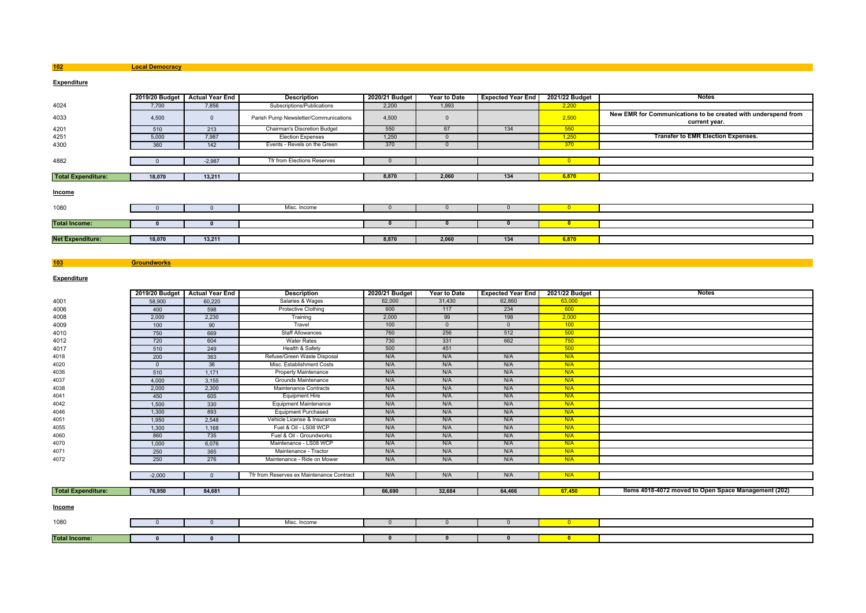**Local Democracy**

## **Expenditure**

|                           | 2019/20 Budget | <b>Actual Year End</b> | <b>Description</b>                    | 2020/21 Budget | Year to Date | <b>Expected Year End</b> | 2021/22 Budget | Notes                                                                          |
|---------------------------|----------------|------------------------|---------------------------------------|----------------|--------------|--------------------------|----------------|--------------------------------------------------------------------------------|
| 4024                      | 7,700          | 7,856                  | Subscriptions/Publications            | 2,200          | 1,993        |                          | 2,200          |                                                                                |
| 4033                      | 4,500          | $\Omega$               | Parish Pump Newsletter/Communications | 4,500          | $\Omega$     |                          | 2,500          | New EMR for Communications to be created with underspend from<br>current year. |
| 4201                      | 510            | 213                    | Chairman's Discretion Budget          | 550            | 67           | 134                      | 550            |                                                                                |
| 4251                      | 5,000          | 7,987                  | <b>Election Expenses</b>              | 1,250          |              |                          | 1,250          | <b>Transfer to EMR Election Expenses.</b>                                      |
| 4300                      | 360            | 142                    | Events - Revels on the Green          | 370            |              |                          | 370            |                                                                                |
|                           |                |                        |                                       |                |              |                          |                |                                                                                |
| 4882                      |                | $-2,987$               | Tfr from Elections Reserves           |                |              |                          | $\overline{0}$ |                                                                                |
|                           |                |                        |                                       |                |              |                          |                |                                                                                |
| <b>Total Expenditure:</b> | 18,070         | 13,211                 |                                       | 8,870          | 2,060        | 134                      | 6,870          |                                                                                |
| Income                    |                |                        |                                       |                |              |                          |                |                                                                                |
| 1080                      |                |                        | Misc. Income                          |                |              |                          | $\overline{0}$ |                                                                                |
|                           |                |                        |                                       |                |              |                          |                |                                                                                |
| <b>Total Income:</b>      |                |                        |                                       |                |              |                          | $\mathbf{0}$   |                                                                                |
|                           |                |                        |                                       |                |              |                          |                |                                                                                |
| <b>Net Expenditure:</b>   | 18,070         | 13,211                 |                                       | 8,870          | 2,060        | 134                      | 6,870          |                                                                                |
|                           |                |                        |                                       |                |              |                          |                |                                                                                |

#### **103Groundworks**

## **Expenditure**

**Total Income:**

|                           |          | 2019/20 Budget Actual Year End | <b>Description</b>                        | 2020/21 Budget | <b>Year to Date</b> | <b>Expected Year End</b> | 2021/22 Budget          | <b>Notes</b>                                         |
|---------------------------|----------|--------------------------------|-------------------------------------------|----------------|---------------------|--------------------------|-------------------------|------------------------------------------------------|
| 4001                      | 58,900   | 60,220                         | Salaries & Wages                          | 62,000         | 31,430              | 62.860                   | 63,000                  |                                                      |
| 4006                      | 400      | 598                            | <b>Protective Clothing</b>                | 600            | 117                 | 234                      | 600                     |                                                      |
| 4008                      | 2,000    | 2,230                          | Training                                  | 2,000          | 99                  | 198                      | 2,000                   |                                                      |
| 4009                      | 100      | 90                             | Travel                                    | 100            | $\Omega$            | $\overline{0}$           | 100                     |                                                      |
| 4010                      | 750      | 669                            | <b>Staff Allowances</b>                   | 760            | 256                 | 512                      | 500                     |                                                      |
| 4012                      | 720      | 604                            | <b>Water Rates</b>                        | 730            | 331                 | 662                      | 750                     |                                                      |
| 4017                      | 510      | 249                            | Health & Safety                           | 500            | 451                 |                          | 500                     |                                                      |
| 4018                      | 200      | 363                            | Refuse/Green Waste Disposal               | N/A            | N/A                 | N/A                      | N/A                     |                                                      |
| 4020                      | $\Omega$ | 36                             | Misc. Establishment Costs                 | N/A            | N/A                 | N/A                      | N/A                     |                                                      |
| 4036                      | 510      | 1,171                          | <b>Property Maintenance</b>               | N/A            | N/A                 | N/A                      | N/A                     |                                                      |
| 4037                      | 4,000    | 3,155                          | Grounds Maintenance                       | N/A            | N/A                 | N/A                      | N/A                     |                                                      |
| 4038                      | 2,000    | 2,300                          | Maintenance Contracts                     | N/A            | N/A                 | N/A                      | N/A                     |                                                      |
| 4041                      | 450      | 605                            | <b>Equipment Hire</b>                     | N/A            | N/A                 | N/A                      | N/A                     |                                                      |
| 4042                      | 1,500    | 330                            | <b>Equipment Maintenance</b>              | N/A            | N/A                 | N/A                      | N/A                     |                                                      |
| 4046                      | 1,300    | 893                            | <b>Equipment Purchased</b>                | N/A            | N/A                 | N/A                      | N/A                     |                                                      |
| 4051                      | 1,950    | 2,548                          | Vehicle License & Insurance               | N/A            | N/A                 | N/A                      | N/A                     |                                                      |
| 4055                      | 1,300    | 1,168                          | Fuel & Oil - LS08 WCP                     | N/A            | N/A                 | N/A                      | N/A                     |                                                      |
| 4060                      | 860      | 735                            | Fuel & Oil - Groundworks                  | N/A            | N/A                 | N/A                      | N/A                     |                                                      |
| 4070                      | 1,000    | 6,076                          | Maintenance - LS08 WCP                    | N/A            | N/A                 | N/A                      | N/A                     |                                                      |
| 4071                      | 250      | 365                            | Maintenance - Tractor                     | N/A            | N/A                 | N/A                      | N/A                     |                                                      |
| 4072                      | 250      | 276                            | Maintenance - Ride on Mower               | N/A            | N/A                 | N/A                      | N/A                     |                                                      |
|                           |          |                                |                                           |                |                     |                          |                         |                                                      |
|                           | $-2,000$ | $\Omega$                       | Tfr from Reserves ex Maintenance Contract | N/A            | N/A                 | N/A                      | N/A                     |                                                      |
|                           |          |                                |                                           |                |                     |                          |                         |                                                      |
| <b>Total Expenditure:</b> | 76,950   | 84,681                         |                                           | 66,690         | 32,684              | 64,466                   | 67,450                  | Items 4018-4072 moved to Open Space Management (202) |
|                           |          |                                |                                           |                |                     |                          |                         |                                                      |
| Income                    |          |                                |                                           |                |                     |                          |                         |                                                      |
| 1080                      | $\Omega$ | $\Omega$                       | Misc. Income                              | $\Omega$       | $\mathbf{0}$        | $\overline{\phantom{0}}$ | $\overline{\mathbf{0}}$ |                                                      |
|                           |          |                                |                                           |                |                     |                          |                         |                                                      |

**<sup>0</sup> <sup>0</sup> <sup>0</sup> <sup>0</sup> <sup>0</sup> <sup>0</sup>**

**102**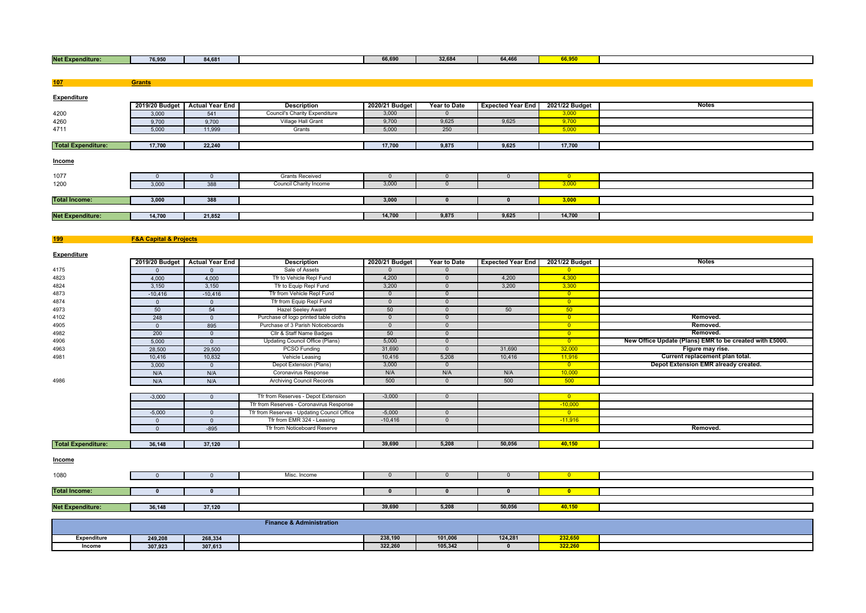|  | <b>Net Expenditure:</b> | -----<br>.<br>$10,35-$ | 84.681 |  | $\cdots$<br>66 690<br><u></u> | 32.68 | 0.4.00 | . <b>.</b> |  |
|--|-------------------------|------------------------|--------|--|-------------------------------|-------|--------|------------|--|
|--|-------------------------|------------------------|--------|--|-------------------------------|-------|--------|------------|--|

| 107                       | <b>Grants</b>  |                        |                                      |                |              |                          |                |              |
|---------------------------|----------------|------------------------|--------------------------------------|----------------|--------------|--------------------------|----------------|--------------|
| Expenditure               |                |                        |                                      |                |              |                          |                |              |
|                           | 2019/20 Budget | <b>Actual Year End</b> | <b>Description</b>                   | 2020/21 Budget | Year to Date | <b>Expected Year End</b> | 2021/22 Budget | <b>Notes</b> |
| 4200                      | 3,000          | 541                    | <b>Council's Charity Expenditure</b> | 3,000          |              |                          | 3,000          |              |
| 4260                      | 9,700          | 9,700                  | Village Hall Grant                   | 9,700          | 9,625        | 9,625                    | 9,700          |              |
| 4711                      | 5,000          | 11,999                 | Grants                               | 5,000          | 250          |                          | 5,000          |              |
|                           |                |                        |                                      |                |              |                          |                |              |
| <b>Total Expenditure:</b> | 17,700         | 22,240                 |                                      | 17,700         | 9,875        | 9,625                    | 17,700         |              |
| Income                    |                |                        |                                      |                |              |                          |                |              |
| 1077                      |                |                        | <b>Grants Received</b>               |                |              |                          | $\overline{0}$ |              |
| 1200                      | 3,000          | 388                    | <b>Council Charity Income</b>        | 3,000          |              |                          | 3,000          |              |
|                           |                |                        |                                      |                |              |                          |                |              |
| <b>Total Income:</b>      | 3,000          | 388                    |                                      | 3,000          |              |                          | 3,000          |              |
|                           |                |                        |                                      |                |              |                          |                |              |
| <b>Net Expenditure:</b>   | 14,700         | 21,852                 |                                      | 14,700         | 9,875        | 9,625                    | 14,700         |              |
|                           |                |                        |                                      |                |              |                          |                |              |

#### **199F&A Capital & Projects**

| Expenditure               |                |                        |                                             |                |                     |                          |                         |                                                         |
|---------------------------|----------------|------------------------|---------------------------------------------|----------------|---------------------|--------------------------|-------------------------|---------------------------------------------------------|
|                           | 2019/20 Budget | <b>Actual Year End</b> | <b>Description</b>                          | 2020/21 Budget | <b>Year to Date</b> | <b>Expected Year End</b> | 2021/22 Budget          | <b>Notes</b>                                            |
| 4175                      | $\Omega$       | $\Omega$               | Sale of Assets                              | $\Omega$       | $\overline{0}$      |                          | $\overline{\mathbf{0}}$ |                                                         |
| 4823                      | 4,000          | 4,000                  | Tfr to Vehicle Repl Fund                    | 4,200          | $\mathbf{0}$        | 4,200                    | 4,300                   |                                                         |
| 4824                      | 3,150          | 3,150                  | Tfr to Equip Repl Fund                      | 3,200          | $\mathbf{0}$        | 3,200                    | 3,300                   |                                                         |
| 4873                      | $-10,416$      | $-10,416$              | Tfr from Vehicle Repl Fund                  | $\mathbf{0}$   | $\mathbf{0}$        |                          | $\overline{\mathbf{0}}$ |                                                         |
| 4874                      | $\overline{0}$ | $\Omega$               | Tfr from Equip Repl Fund                    | $\Omega$       | $\Omega$            |                          | $\overline{0}$          |                                                         |
| 4973                      | 50             | 54                     | <b>Hazel Seeley Award</b>                   | 50             | $\Omega$            | 50                       | 50                      |                                                         |
| 4102                      | 248            | $\Omega$               | Purchase of logo printed table cloths       | $\Omega$       | $\Omega$            |                          | $\overline{\mathbf{0}}$ | Removed.                                                |
| 4905                      | $\overline{0}$ | 895                    | Purchase of 3 Parish Noticeboards           | $\Omega$       | 0                   |                          | $\overline{0}$          | Removed.                                                |
| 4982                      | 200            | $\Omega$               | Cllr & Staff Name Badges                    | 50             | $\Omega$            |                          | $\overline{0}$          | Removed.                                                |
| 4906                      | 5,000          | $\Omega$               | Updating Council Office (Plans)             | 5,000          | $\mathbf{0}$        |                          | $\overline{0}$          | New Office Update (Plans) EMR to be created with £5000. |
| 4963                      | 28,500         | 29,500                 | <b>PCSO Funding</b>                         | 31,690         | $\Omega$            | 31,690                   | 32,000                  | Figure may rise.                                        |
| 4981                      | 10,416         | 10,832                 | Vehicle Leasing                             | 10,416         | 5,208               | 10,416                   | 11,916                  | Current replacement plan total.                         |
|                           | 3,000          | $\Omega$               | Depot Extension (Plans)                     | 3,000          | $\Omega$            |                          | $\overline{0}$          | Depot Extension EMR already created.                    |
|                           | N/A            | N/A                    | <b>Coronavirus Response</b>                 | N/A            | N/A                 | N/A                      | 10,000                  |                                                         |
| 4986                      | N/A            | N/A                    | <b>Archiving Council Records</b>            | 500            | $\Omega$            | 500                      | 500                     |                                                         |
|                           |                |                        |                                             |                |                     |                          |                         |                                                         |
|                           | $-3,000$       | $\Omega$               | Tfr from Reserves - Depot Extension         | $-3,000$       | $\Omega$            |                          | $\overline{0}$          |                                                         |
|                           |                |                        | Tfr from Reserves - Coronavirus Response    |                |                     |                          | $-10,000$               |                                                         |
|                           | $-5,000$       | $\Omega$               | Tfr from Reserves - Updating Council Office | $-5,000$       | $\Omega$            |                          | $\overline{0}$          |                                                         |
|                           | $\Omega$       | $\Omega$               | Tfr from EMR 324 - Leasing                  | $-10,416$      | $\Omega$            |                          | $-11,916$               |                                                         |
|                           | $\Omega$       | $-895$                 | Tfr from Noticeboard Reserve                |                |                     |                          |                         | Removed.                                                |
|                           |                |                        |                                             |                |                     |                          |                         |                                                         |
| <b>Total Expenditure:</b> | 36,148         | 37.120                 |                                             | 39,690         | 5,208               | 50,056                   | 40,150                  |                                                         |
| <b>Income</b>             |                |                        |                                             |                |                     |                          |                         |                                                         |
|                           |                |                        |                                             |                |                     |                          |                         |                                                         |
| 1080                      | $\Omega$       | $\Omega$               | Misc. Income                                | $\Omega$       | $\mathbf{0}$        | $\Omega$                 | $\overline{0}$          |                                                         |
|                           |                |                        |                                             |                |                     |                          |                         |                                                         |
| <b>Total Income:</b>      | $\mathbf{0}$   | $\mathbf{0}$           |                                             | $\Omega$       | $\Omega$            | $\mathbf{0}$             | $\overline{\mathbf{0}}$ |                                                         |
|                           |                |                        |                                             |                |                     |                          |                         |                                                         |
| <b>Net Expenditure:</b>   | 36,148         | 37,120                 |                                             | 39,690         | 5,208               | 50,056                   | 40,150                  |                                                         |
|                           |                |                        | Einange & Administration                    |                |                     |                          |                         |                                                         |

|                    |         |         | <b>Finance &amp; Administration</b> |         |         |         |         |  |
|--------------------|---------|---------|-------------------------------------|---------|---------|---------|---------|--|
| <b>Expenditure</b> | 249,208 | 268,334 |                                     | 238,190 | 101,006 | 124,281 | 232,650 |  |
| Income             | 307,923 | 307,613 |                                     | 322,260 | 105,342 |         | 322.260 |  |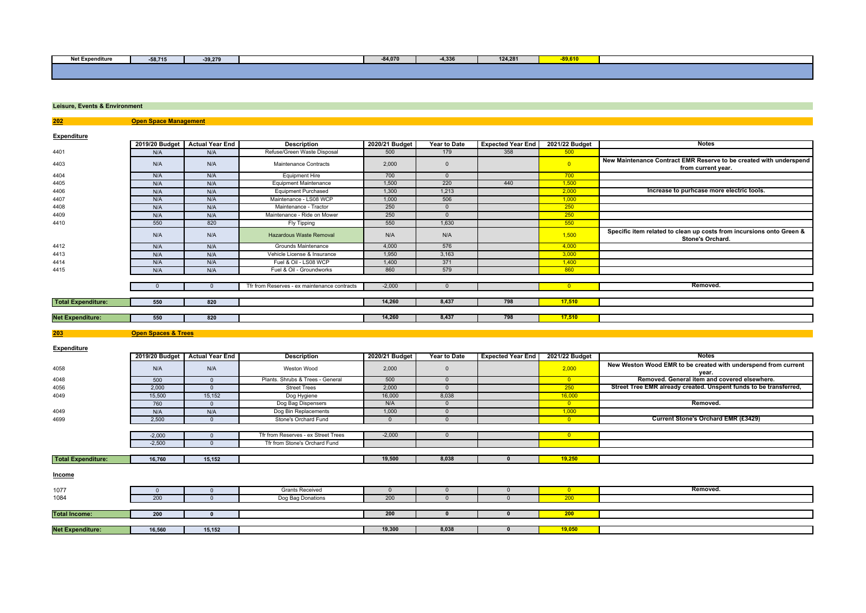| <b>Net Exper</b><br>naıturı | $-2 - 1$<br>71 K<br>$-00, 10$ | $-39,279$ | $-84.070$ | $-4,336$ | 124,281 | $-24.5$ |  |
|-----------------------------|-------------------------------|-----------|-----------|----------|---------|---------|--|
|                             |                               |           |           |          |         |         |  |

### **Leisure, Events & Environment**

**202 Open Space Management Expenditure2019/20 Budget Actual Year End Description 2020/21 Budget Year to Date Expected Year End 2021/22 Budget Notes** 44011 N/A N/A Refuse/Green Waste Disposal 500 179 358 <mark>500</mark> <sup>4403</sup> N/A N/A Maintenance Contracts 2,000 <sup>0</sup> <sup>0</sup> **New Maintenance Contract EMR Reserve to be created with underspend from current year.** 44044 N/A N/A Equipment Hire 700 0 0 2 200 44055 N/A N/A L Equipment Maintenance 1,500 220 440 <mark> 1,500</mark> 4406N/A N/A N/A Equipment Purchased 1,300 1.213 2,000 2,000 **Increase to purhcase more electric tools.**<br>N/A N/A Maintenance - LS08 WCP 1,000 506 1,000 1,000 1,000 44077 N/A N/A N/A Maintenance - LS08 WCP 1,000 1,000 1,000 506 1,000 1,000 1,000 1,000 1,000 1,000 1,000 1,000 1,000 1,000 1,000 1,000 1,000 1,000 1,000 1,000 1,000 1,000 1,000 1,000 1,000 1,000 1,000 1,000 1,000 1,00 4408 N/A N/A Maintenance - Tractor <sup>250</sup> <sup>0</sup> <sup>250</sup> 4409 N/A N/A Maintenance - Ride on Mower <sup>250</sup> <sup>0</sup> <sup>250</sup> 4410 <sup>550</sup> <sup>820</sup> Fly Tipping <sup>550</sup> 1,630 <sup>550</sup> N/A N/A Hazardous Waste Removal N/A N/A N/A N/A N/A N/A 1,500 Specific item related to clean up costs from incursions onto Green & 44122 N/A N/A Grounds Maintenance 4,000 576 576 1990 1991 4,000 4413N/A N/A N/A Vehicle License & Insurance 1,950 3,163 3,000 3,163 3,000 44144 N/A N/A N/A Fuel & Oil - LS08 WCP 1,400 371 1,400 371 1,400 1,400 44155 N/A N/A Fuel & Oil - Groundworks 860 579 860 579 860 0 0 Tfr from Reserves - ex maintenance contracts -2,000 0 0 0 0 0 0 0 0 0 0 0 0 0 0 m  **Total Expenditure: <sup>550</sup> <sup>820</sup> 14,260 8,437 <sup>798</sup> 17,510 Net Expenditure:<sup>550</sup> <sup>820</sup> 14,260 8,437 <sup>798</sup> 17,510**

## **Open Spaces & Trees**

**Expenditure**

**203**

| 2019/20 Budget | <b>Actual Year End</b> | <b>Description</b>                  | 2020/21 Budget                                                                                 | Year to Date        | <b>Expected Year End</b> | 2021/22 Budget | <b>Notes</b>                                                      |
|----------------|------------------------|-------------------------------------|------------------------------------------------------------------------------------------------|---------------------|--------------------------|----------------|-------------------------------------------------------------------|
|                |                        |                                     |                                                                                                |                     |                          |                | New Weston Wood EMR to be created with underspend from current    |
|                |                        |                                     |                                                                                                |                     |                          |                | year.                                                             |
| 500            |                        |                                     |                                                                                                |                     |                          |                | Removed. General item and covered elsewhere.                      |
| 2,000          |                        | <b>Street Trees</b>                 | 2,000                                                                                          |                     |                          | 250            | Street Tree EMR already created. Unspent funds to be transferred, |
| 15,500         | 15,152                 | Dog Hygiene                         | 16,000                                                                                         | 8,038               |                          | 16,000         |                                                                   |
| 760            |                        | Dog Bag Dispensers                  | N/A                                                                                            |                     |                          |                | Removed.                                                          |
| N/A            | N/A                    | Dog Bin Replacements                | 1.000                                                                                          |                     |                          | 1,000          |                                                                   |
| 2,500          |                        | Stone's Orchard Fund                |                                                                                                |                     |                          |                | Current Stone's Orchard EMR (£3429)                               |
|                |                        |                                     |                                                                                                |                     |                          |                |                                                                   |
| $-2,000$       |                        | Tfr from Reserves - ex Street Trees | $-2,000$                                                                                       |                     |                          |                |                                                                   |
| $-2,500$       |                        | Tfr from Stone's Orchard Fund       |                                                                                                |                     |                          |                |                                                                   |
|                |                        |                                     |                                                                                                |                     |                          |                |                                                                   |
| 16,760         | 15,152                 |                                     | 19,500                                                                                         |                     |                          | 19,250         |                                                                   |
|                |                        |                                     |                                                                                                |                     |                          |                |                                                                   |
|                |                        |                                     |                                                                                                |                     |                          |                |                                                                   |
|                |                        |                                     |                                                                                                |                     |                          |                |                                                                   |
|                |                        |                                     |                                                                                                |                     |                          |                | Removed.                                                          |
|                |                        |                                     |                                                                                                |                     |                          |                |                                                                   |
|                | N/A<br>200             | N/A                                 | Weston Wood<br>Plants. Shrubs & Trees - General<br><b>Grants Received</b><br>Dog Bag Donations | 2,000<br>500<br>200 | 8,038                    |                | 2,000<br>200                                                      |

| Total li | 200                                                    |        | $- - -$<br>$- \cdot \cdot$ |       | __            |  |
|----------|--------------------------------------------------------|--------|----------------------------|-------|---------------|--|
|          |                                                        |        |                            |       |               |  |
| Net Fy   | $\overline{1}$ $\overline{2}$ $\overline{3}$<br>10,000 | 15,152 | 10.200<br>19,300           | 8,038 | <b>AG APA</b> |  |
|          |                                                        |        |                            |       |               |  |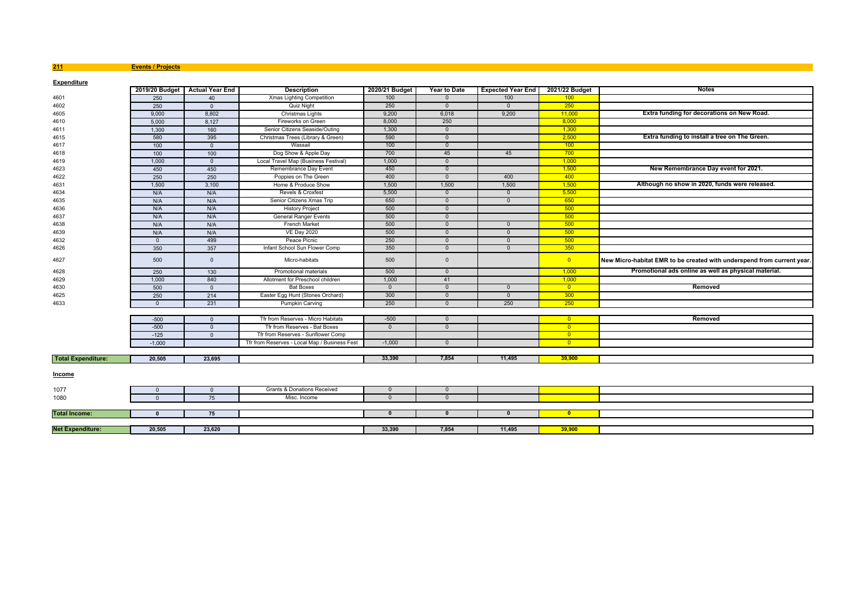**211 Events / Projects**

| <b>Expenditure</b>        |                |                                  |                                               |                |                |                          |                          |                                                                        |
|---------------------------|----------------|----------------------------------|-----------------------------------------------|----------------|----------------|--------------------------|--------------------------|------------------------------------------------------------------------|
|                           |                | 2019/20 Budget   Actual Year End | <b>Description</b>                            | 2020/21 Budget | Year to Date   | <b>Expected Year End</b> | 2021/22 Budget           | <b>Notes</b>                                                           |
| 4601                      | 250            | 40                               | <b>Xmas Lighting Competition</b>              | 100            | $\Omega$       | 100                      | 100                      |                                                                        |
| 4602                      | 250            | $\Omega$                         | <b>Quiz Night</b>                             | 250            | $\overline{0}$ | $\overline{0}$           | 250                      |                                                                        |
| 4605                      | 9,000          | 8,802                            | Christmas Lights                              | 9,200          | 6,018          | 9,200                    | 11,000                   | Extra funding for decorations on New Road.                             |
| 4610                      | 5,000          | 8,127                            | Fireworks on Green                            | 8,000          | 250            |                          | 8,000                    |                                                                        |
| 4611                      | 1,300          | 160                              | Senior Citizens Seaside/Outing                | 1,300          | $\overline{0}$ |                          | 1,300                    |                                                                        |
| 4615                      | 580            | 395                              | Christmas Trees (Library & Green)             | 590            | $\mathbf{0}$   |                          | 2,500                    | Extra funding to install a tree on The Green.                          |
| 4617                      | 100            | $\Omega$                         | Wassail                                       | 100            | $\mathbf{0}$   |                          | 100                      |                                                                        |
| 4618                      | 100            | 100                              | Dog Show & Apple Day                          | 700            | 45             | 45                       | 700                      |                                                                        |
| 4619                      | 1,000          | $\overline{0}$                   | Local Travel Map (Business Festival)          | 1,000          | $\Omega$       |                          | 1,000                    |                                                                        |
| 4623                      | 450            | 450                              | Remembrance Day Event                         | 450            | $\Omega$       |                          | 1,500                    | New Remembrance Day event for 2021.                                    |
| 4622                      | 250            | 250                              | Poppies on The Green                          | 400            | $\overline{0}$ | 400                      | 400                      |                                                                        |
| 4631                      | 1,500          | 3,100                            | Home & Produce Show                           | 1,500          | 1,500          | 1,500                    | 1.500                    | Although no show in 2020, funds were released.                         |
| 4634                      | N/A            | N/A                              | Revels & Croxfest                             | 5,500          | $\overline{0}$ | $\mathbf{0}$             | 5,500                    |                                                                        |
| 4635                      | N/A            | N/A                              | Senior Citizens Xmas Trip                     | 650            | $\mathbf{0}$   | $\mathbf{0}$             | 650                      |                                                                        |
| 4636                      | N/A            | N/A                              | <b>History Project</b>                        | 500            | $\overline{0}$ |                          | 500                      |                                                                        |
| 4637                      | N/A            | N/A                              | <b>General Ranger Events</b>                  | 500            | $\Omega$       |                          | $-500$                   |                                                                        |
| 4638                      | N/A            | N/A                              | <b>French Market</b>                          | 500            | $\mathbf{0}$   | $\mathbf{0}$             | 500                      |                                                                        |
| 4639                      | N/A            | N/A                              | <b>VE Day 2020</b>                            | 500            | $\Omega$       | $\Omega$                 | 500                      |                                                                        |
| 4632                      | $\overline{0}$ | 499                              | Peace Picnic                                  | 250            | $\overline{0}$ | $\mathbf{0}$             | 500                      |                                                                        |
| 4626                      | 350            | 357                              | Infant School Sun Flower Comp                 | 350            | $\mathbf{0}$   | $\mathbf{0}$             | 350                      |                                                                        |
| 4627                      | 500            | $\mathbf{0}$                     | Micro-habitats                                | 500            | $\mathbf{0}$   |                          | $\overline{0}$           | New Micro-habitat EMR to be created with underspend from current year. |
| 4628                      | 250            | 130                              | Promotional materials                         | 500            | $\Omega$       |                          | 1,000                    | Promotional ads online as well as physical material.                   |
| 4629                      | 1,000          | 840                              | Allotment for Preschool children              | 1,000          | 41             |                          | 1,000                    |                                                                        |
| 4630                      | 500            | $\overline{0}$                   | <b>Bat Boxes</b>                              | $\overline{0}$ | $\mathbf{0}$   | $\mathbf{0}$             | $\overline{0}$           | Removed                                                                |
| 4625                      | 250            | 214                              | Easter Egg Hunt (Stones Orchard)              | 300            | $\overline{0}$ | $\overline{0}$           | 300                      |                                                                        |
| 4633                      | $\Omega$       | 231                              | <b>Pumpkin Carving</b>                        | 250            | $\mathbf{0}$   | 250                      | 250                      |                                                                        |
|                           |                |                                  |                                               |                |                |                          |                          |                                                                        |
|                           | $-500$         | $\overline{0}$                   | Tfr from Reserves - Micro Habitats            | $-500$         | $\overline{0}$ |                          | $\overline{\mathbf{0}}$  | Removed                                                                |
|                           | $-500$         | $\overline{0}$                   | Tfr from Reserves - Bat Boxes                 | $\overline{0}$ | $\mathbf{0}$   |                          | $\overline{\phantom{0}}$ |                                                                        |
|                           | $-125$         | $\overline{0}$                   | Tfr from Reserves - Sunflower Comp            |                |                |                          | $\overline{0}$           |                                                                        |
|                           | $-1,000$       |                                  | Tfr from Reserves - Local Map / Business Fest | $-1,000$       | $\Omega$       |                          | $\overline{0}$           |                                                                        |
|                           |                |                                  |                                               |                |                |                          |                          |                                                                        |
| <b>Total Expenditure:</b> | 20,505         | 23.695                           |                                               | 33,390         | 7,854          | 11,495                   | 39,900                   |                                                                        |
| <u>Income</u>             |                |                                  |                                               |                |                |                          |                          |                                                                        |
| 1077                      | $\Omega$       | $\overline{0}$                   | Grants & Donations Received                   | $\overline{0}$ | $\mathbf{0}$   |                          |                          |                                                                        |
| 1080                      | $\overline{0}$ | 75                               | Misc. Income                                  | $\Omega$       | $\mathbf{0}$   |                          |                          |                                                                        |
|                           |                |                                  |                                               |                |                |                          |                          |                                                                        |
| <b>Total Income:</b>      | $\Omega$       | 75                               |                                               | $\Omega$       | $\Omega$       | $\mathbf{0}$             | $\overline{\mathbf{0}}$  |                                                                        |
|                           |                |                                  |                                               |                |                |                          |                          |                                                                        |
| <b>Net Expenditure:</b>   | 20,505         | 23,620                           |                                               | 33,390         | 7,854          | 11,495                   | 39,900                   |                                                                        |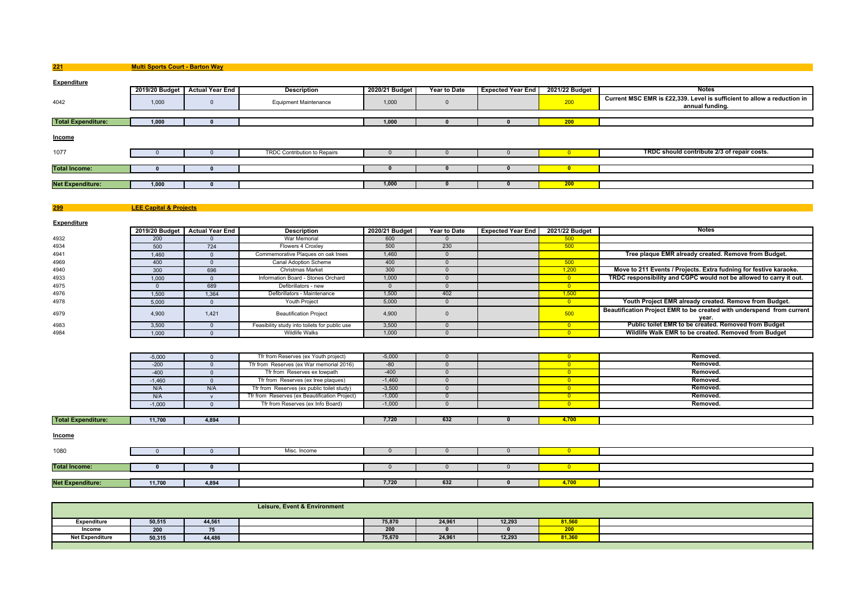**Multi Sports Court - Barton Way**

**221**

| <b>Expenditure</b>        |       |                                |                              |                |                     |                          |                |                                                                                            |
|---------------------------|-------|--------------------------------|------------------------------|----------------|---------------------|--------------------------|----------------|--------------------------------------------------------------------------------------------|
|                           |       | 2019/20 Budget Actual Year End | <b>Description</b>           | 2020/21 Budget | <b>Year to Date</b> | <b>Expected Year End</b> | 2021/22 Budget | <b>Notes</b>                                                                               |
| 4042                      | 1,000 |                                | <b>Equipment Maintenance</b> | 1,000          |                     |                          | 200            | Current MSC EMR is £22,339. Level is sufficient to allow a reduction in<br>annual funding. |
|                           |       |                                |                              |                |                     |                          |                |                                                                                            |
| <b>Total Expenditure:</b> | 1,000 |                                |                              | 1,000          |                     |                          | 200            |                                                                                            |
| <b>Income</b>             |       |                                |                              |                |                     |                          |                |                                                                                            |
| 1077                      |       |                                | TRDC Contribution to Repairs |                |                     |                          |                | TRDC should contribute 2/3 of repair costs.                                                |
|                           |       |                                |                              |                |                     |                          |                |                                                                                            |
| <b>Total Income:</b>      |       |                                |                              |                |                     |                          |                |                                                                                            |
|                           |       |                                |                              |                |                     |                          |                |                                                                                            |
| <b>Net Expenditure:</b>   | 1,000 |                                |                              | 1,000          |                     |                          | 200            |                                                                                            |
|                           |       |                                |                              |                |                     |                          |                |                                                                                            |

**299LEE Capital & Projects**

**Expenditure2019/20 Budget Actual Year End Description 2020/21 Budget Year to Date Expected Year End 2021/22 Budget Notes** 4932 <sup>200</sup> <sup>0</sup> War Memorial <sup>600</sup> <sup>0</sup> <sup>500</sup> 49344 S00 500 724 Flowers 4 Croxley 500 230 230 500 500 4941 1,460 <sup>0</sup> Commemorative Plaques on oak trees 1,460 <sup>0</sup> **Tree plaque EMR already created. Remove from Budget.** 4969 <sup>400</sup> <sup>0</sup> Canal Adoption Scheme <sup>400</sup> <sup>0</sup> <sup>500</sup> 4940300 696 Christmas Market 300 0 1,000 0 1,200 **Move to 211 Events / Projects. Extra fudning for festive karaoke.**<br>2000 1 1,000 0 1 Information Board - Stones Orchard 1,000 0 0 0 1 0 1 1 1,200 **TRDC responsibility and CGPC w** 4933 1,000 <sup>0</sup> Information Board - Stones Orchard 1,000 <sup>0</sup> <sup>0</sup> **TRDC responsibility and CGPC would not be allowed to carry it out.** 49755 0 689 Defibrillators - new 0 <mark> 0</mark> 49766 1,500 1,364 Defibrillators - Maintenance 1,500 402 402 1,500 1,500 1,500 4978 5,000 <sup>0</sup> Youth Project 5,000 <sup>0</sup> <sup>0</sup> **Youth Project EMR already created. Remove from Budget.** 4,900 1,421 Beautification Project 4,900 0 4,900 0 500 **Beautification Project EMR to be created with underspend from current**<br>4983 3,500 0 Feasibility study into toilets for public use 3,500 0 0 0 **Public toilet EMR to be** 3,500 0 Feasibility study into toilets for public use 3,500 0 0 0 0 0 **Public toilet EMR to be created. Removed from Budget** 498349841,000 <sup>0</sup> Wildlife Walks 1,000 <sup>0</sup> <sup>0</sup> **Wildlife Walk EMR to be created. Removed from Budget**

|                           | $-5,000$ |       | Tfr from Reserves (ex Youth project)          | $-5,000$ |     |       | Removed. |
|---------------------------|----------|-------|-----------------------------------------------|----------|-----|-------|----------|
|                           | $-200$   |       | Tfr from Reserves (ex War memorial 2016)      | $-80$    |     |       | Removed. |
|                           | $-400$   |       | Tfr from Reserves ex towpath                  | $-400$   |     |       | Removed. |
|                           | $-1,460$ |       | Tfr from Reserves (ex tree plaques)           | $-1,460$ |     |       | Removed. |
|                           | N/A      | N/A   | Tfr from Reserves (ex public toilet study)    | $-3,500$ |     |       | Removed. |
|                           | N/A      |       | Tfr from Reserves (ex Beautification Project) | $-1,000$ |     |       | Removed. |
|                           | $-1,000$ |       | Tfr from Reserves (ex Info Board)             | $-1,000$ |     |       | Removed. |
|                           |          |       |                                               |          |     |       |          |
| <b>Total Expenditure:</b> | 11,700   | 4,894 |                                               | 7,720    | 632 | 4,700 |          |
|                           |          |       |                                               |          |     |       |          |
| <b>Income</b>             |          |       |                                               |          |     |       |          |
|                           |          |       |                                               |          |     |       |          |
| 1080                      |          |       | Misc. Income                                  |          |     |       |          |

| $\cdot$ $\cdot$ $\cdot$ $\cdot$ | $\overline{a}$<br>$\sim$ $\sim$ | 7,720 | 022<br>ാ∠ |  |  |
|---------------------------------|---------------------------------|-------|-----------|--|--|

|                        |        |        | Leisure, Event & Environment |        |        |        |                   |  |
|------------------------|--------|--------|------------------------------|--------|--------|--------|-------------------|--|
| Expenditure            | 50,515 | 44,561 |                              | 75,870 | 24,961 | 12,293 | 81,560            |  |
| Income                 | 200    |        |                              | 200    |        |        | <b>GOO</b><br>200 |  |
| <b>Net Expenditure</b> | 50,315 | 44,486 |                              | 75,670 | 24,961 | 12,293 | 81,36             |  |
|                        |        |        |                              |        |        |        |                   |  |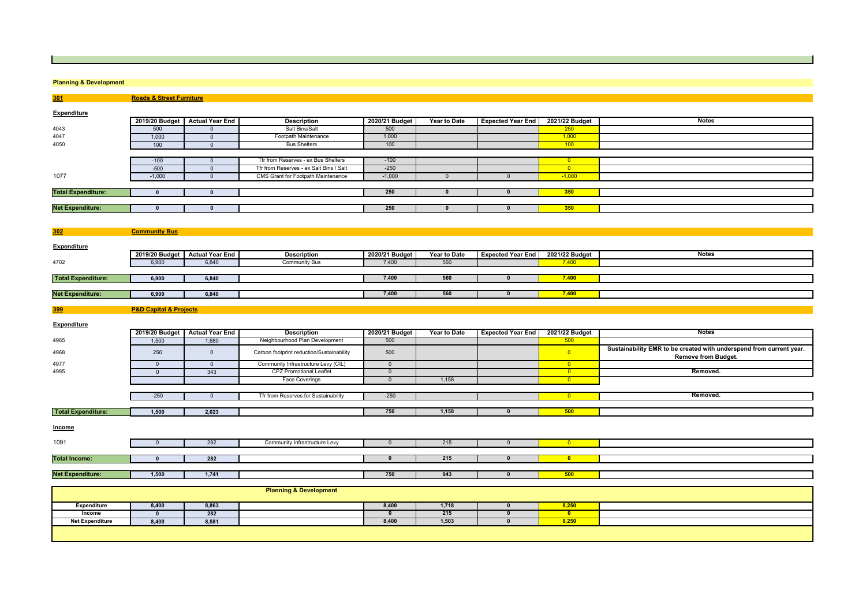# **Planning & Development 301**

**302**

**399**

**Roads & Street Furniture**

**Community Bus**

| Expenditure               |          |                                |                                         |                |                     |                          |                |              |
|---------------------------|----------|--------------------------------|-----------------------------------------|----------------|---------------------|--------------------------|----------------|--------------|
|                           |          | 2019/20 Budget Actual Year End | <b>Description</b>                      | 2020/21 Budget | <b>Year to Date</b> | <b>Expected Year End</b> | 2021/22 Budget | <b>Notes</b> |
| 4043                      | 500      |                                | Salt Bins/Salt                          | 500            |                     |                          | 250            |              |
| 4047                      | 1,000    |                                | Footpath Maintenance                    | 1,000          |                     |                          | 1,000          |              |
| 4050                      | 100      |                                | <b>Bus Shelters</b>                     | 100            |                     |                          | 100            |              |
|                           |          |                                |                                         |                |                     |                          |                |              |
|                           | $-100$   |                                | Tfr from Reserves - ex Bus Shelters     | $-100$         |                     |                          |                |              |
|                           | $-500$   |                                | Tfr from Reserves - ex Salt Bins / Salt | $-250$         |                     |                          |                |              |
| 1077                      | $-1,000$ |                                | CMS Grant for Footpath Maintenance      | $-1,000$       |                     |                          | $-1,000$       |              |
|                           |          |                                |                                         |                |                     |                          |                |              |
| <b>Total Expenditure:</b> |          |                                |                                         | 250            |                     |                          | 350            |              |
|                           |          |                                |                                         |                |                     |                          |                |              |
| <b>Net Expenditure:</b>   |          |                                |                                         | 250            |                     |                          | 350            |              |
|                           |          |                                |                                         |                |                     |                          |                |              |

| Expenditure               |       |                                  |               |                |                     |                          |                |       |
|---------------------------|-------|----------------------------------|---------------|----------------|---------------------|--------------------------|----------------|-------|
|                           |       | 2019/20 Budget   Actual Year End | Description   | 2020/21 Budget | <b>Year to Date</b> | <b>Expected Year End</b> | 2021/22 Budget | Notes |
| 4702                      | 6,900 | 6,840                            | Community Bus | 7,400          | 560                 |                          | 7.400          |       |
|                           |       |                                  |               |                |                     |                          |                |       |
| <b>Total Expenditure:</b> | 6,900 | 6,840                            |               | 7,400          | 560                 |                          | 7,400          |       |
|                           |       |                                  |               |                |                     |                          |                |       |
| <b>Net Expenditure:</b>   | 6,900 | 6,840                            |               | 7.400          | 560                 |                          | 7,400          |       |
|                           |       |                                  |               |                |                     |                          |                |       |

## **P&D Capital & Projects**

| <b>Expenditure</b>        |          | 2019/20 Budget   Actual Year End | <b>Description</b>                        | 2020/21 Budget | <b>Year to Date</b> | <b>Expected Year End</b> | 2021/22 Budget           | Notes                                                                                             |
|---------------------------|----------|----------------------------------|-------------------------------------------|----------------|---------------------|--------------------------|--------------------------|---------------------------------------------------------------------------------------------------|
| 4965                      | 1,500    | 1,680                            | Neighbourhood Plan Development            | 500            |                     |                          | 500                      |                                                                                                   |
| 4968                      | 250      | $\Omega$                         | Carbon footprint reduction/Sustainability | 500            |                     |                          | $\overline{0}$           | Sustainability EMR to be created with underspend from current year.<br><b>Remove from Budget.</b> |
| 4977                      | $\Omega$ |                                  | Community Infrastructure Levy (CIL)       | $\Omega$       |                     |                          | $\overline{0}$           |                                                                                                   |
| 4985                      |          | 343                              | <b>CPZ Promotional Leaflet</b>            | $\Omega$       |                     |                          | $\overline{\phantom{0}}$ | Removed.                                                                                          |
|                           |          |                                  | <b>Face Coverings</b>                     |                | 1,158               |                          | $\overline{\mathbf{0}}$  |                                                                                                   |
|                           |          |                                  |                                           |                |                     |                          |                          |                                                                                                   |
|                           | $-250$   |                                  | Tfr from Reserves for Sustainability      | $-250$         |                     |                          | $\Omega$                 | Removed.                                                                                          |
|                           |          |                                  |                                           |                |                     |                          |                          |                                                                                                   |
| <b>Total Expenditure:</b> | 1,500    | 2,023                            |                                           | 750            | 1,158               |                          | 500                      |                                                                                                   |
| Income                    |          |                                  |                                           |                |                     |                          |                          |                                                                                                   |
| 1091                      |          | 282                              | Community Infrastructure Levy             |                | 215                 |                          | $\overline{0}$           |                                                                                                   |
|                           |          |                                  |                                           |                |                     |                          |                          |                                                                                                   |
| <b>Total Income:</b>      |          | 282                              |                                           |                | 215                 |                          | $\overline{0}$           |                                                                                                   |
|                           |          |                                  |                                           |                |                     |                          |                          |                                                                                                   |
| <b>Net Expenditure:</b>   | 1,500    | 1,741                            |                                           | 750            | 943                 |                          | 500                      |                                                                                                   |
|                           |          |                                  |                                           |                |                     |                          |                          |                                                                                                   |
|                           |          |                                  | <b>Planning &amp; Development</b>         |                |                     |                          |                          |                                                                                                   |

|                        |       |       | <b>Planning &amp; Development</b> |       |       |               |  |
|------------------------|-------|-------|-----------------------------------|-------|-------|---------------|--|
| Expenditure            | 8,400 | 8,863 |                                   | 8,400 | 1.718 | 0.05<br>3.Z5L |  |
| Income                 |       | 282   |                                   |       | 215   |               |  |
| <b>Net Expenditure</b> | 8,400 | 8,581 |                                   | 8,400 | 1,503 | 8.250         |  |
|                        |       |       |                                   |       |       |               |  |